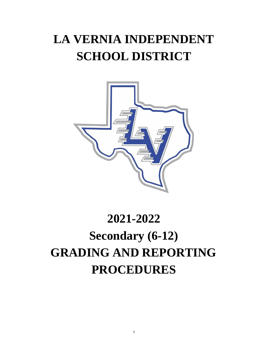# **LA VERNIA INDEPENDENT SCHOOL DISTRICT**



# **2021-2022 Secondary (6-12) GRADING AND REPORTING PROCEDURES**

1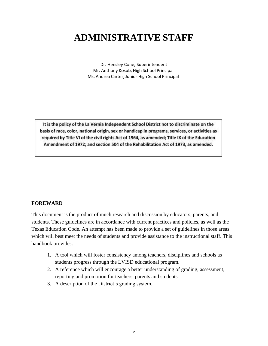# **ADMINISTRATIVE STAFF**

Dr. Hensley Cone, Superintendent Mr. Anthony Kosub, High School Principal Ms. Andrea Carter, Junior High School Principal

It is the policy of the La Vernia Independent School District not to discriminate on the basis of race, color, national origin, sex or handicap in programs, services, or activities as required by Title VI of the civil rights Act of 1964, as amended; Title IX of the Education Amendment of 1972; and section 504 of the Rehabilitation Act of 1973, as amended.

#### **FOREWARD**

This document is the product of much research and discussion by educators, parents, and students. These guidelines are in accordance with current practices and policies, as well as the Texas Education Code. An attempt has been made to provide a set of guidelines in those areas which will best meet the needs of students and provide assistance to the instructional staff. This handbook provides:

- 1. A tool which will foster consistency among teachers, disciplines and schools as students progress through the LVISD educational program.
- 2. A reference which will encourage a better understanding of grading, assessment, reporting and promotion for teachers, parents and students.
- 3. A description of the District's grading system.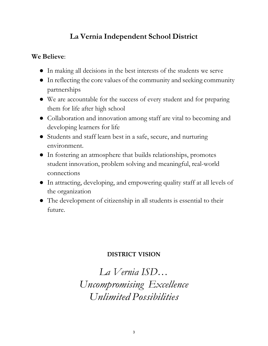# **La Vernia Independent School District**

### **We Believe**:

- In making all decisions in the best interests of the students we serve
- In reflecting the core values of the community and seeking community partnerships
- We are accountable for the success of every student and for preparing them for life after high school
- Collaboration and innovation among staff are vital to becoming and developing learners for life
- Students and staff learn best in a safe, secure, and nurturing environment.
- In fostering an atmosphere that builds relationships, promotes student innovation, problem solving and meaningful, real-world connections
- In attracting, developing, and empowering quality staff at all levels of the organization
- The development of citizenship in all students is essential to their future.

## **DISTRICT VISION**

*La Vernia ISD… Uncompromising Excellence Unlimited Possibilities*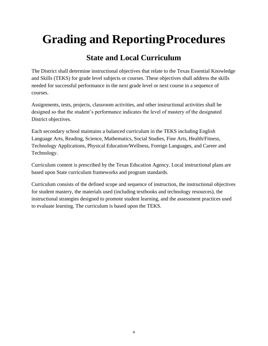# **Grading and ReportingProcedures**

# **State and Local Curriculum**

The District shall determine instructional objectives that relate to the Texas Essential Knowledge and Skills (TEKS) for grade level subjects or courses. These objectives shall address the skills needed for successful performance in the next grade level or next course in a sequence of courses.

Assignments, tests, projects, classroom activities, and other instructional activities shall be designed so that the student's performance indicates the level of mastery of the designated District objectives.

Each secondary school maintains a balanced curriculum in the TEKS including English Language Arts, Reading, Science, Mathematics, Social Studies, Fine Arts, Health/Fitness, Technology Applications, Physical Education/Wellness, Foreign Languages, and Career and Technology.

Curriculum content is prescribed by the Texas Education Agency. Local instructional plans are based upon State curriculum frameworks and program standards.

Curriculum consists of the defined scope and sequence of instruction, the instructional objectives for student mastery, the materials used (including textbooks and technology resources), the instructional strategies designed to promote student learning, and the assessment practices used to evaluate learning. The curriculum is based upon the TEKS.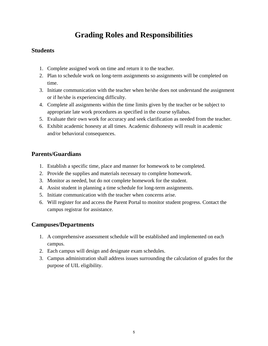# **Grading Roles and Responsibilities**

#### **Students**

- 1. Complete assigned work on time and return it to the teacher.
- 2. Plan to schedule work on long-term assignments so assignments will be completed on time.
- 3. Initiate communication with the teacher when he/she does not understand the assignment or if he/she is experiencing difficulty.
- 4. Complete all assignments within the time limits given by the teacher or be subject to appropriate late work procedures as specified in the course syllabus.
- 5. Evaluate their own work for accuracy and seek clarification as needed from the teacher.
- 6. Exhibit academic honesty at all times. Academic dishonesty will result in academic and/or behavioral consequences.

#### **Parents/Guardians**

- 1. Establish a specific time, place and manner for homework to be completed.
- 2. Provide the supplies and materials necessary to complete homework.
- 3. Monitor as needed, but do not complete homework for the student.
- 4. Assist student in planning a time schedule for long-term assignments.
- 5. Initiate communication with the teacher when concerns arise.
- 6. Will register for and access the Parent Portal to monitor student progress. Contact the campus registrar for assistance.

#### **Campuses/Departments**

- 1. A comprehensive assessment schedule will be established and implemented on each campus.
- 2. Each campus will design and designate exam schedules.
- 3. Campus administration shall address issues surrounding the calculation of grades for the purpose of UIL eligibility.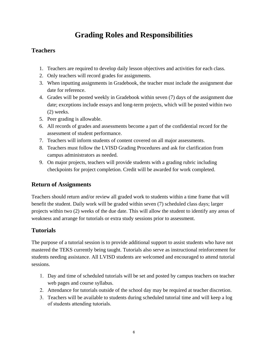# **Grading Roles and Responsibilities**

#### **Teachers**

- 1. Teachers are required to develop daily lesson objectives and activities for each class.
- 2. Only teachers will record grades for assignments.
- 3. When inputting assignments in Gradebook, the teacher must include the assignment due date for reference.
- 4. Grades will be posted weekly in Gradebook within seven (7) days of the assignment due date; exceptions include essays and long-term projects, which will be posted within two (2) weeks.
- 5. Peer grading is allowable.
- 6. All records of grades and assessments become a part of the confidential record for the assessment of student performance.
- 7. Teachers will inform students of content covered on all major assessments.
- 8. Teachers must follow the LVISD Grading Procedures and ask for clarification from campus administrators as needed.
- 9. On major projects, teachers will provide students with a grading rubric including checkpoints for project completion. Credit will be awarded for work completed.

#### **Return of Assignments**

Teachers should return and/or review all graded work to students within a time frame that will benefit the student. Daily work will be graded within seven (7) scheduled class days; larger projects within two (2) weeks of the due date. This will allow the student to identify any areas of weakness and arrange for tutorials or extra study sessions prior to assessment.

#### **Tutorials**

The purpose of a tutorial session is to provide additional support to assist students who have not mastered the TEKS currently being taught. Tutorials also serve as instructional reinforcement for students needing assistance. All LVISD students are welcomed and encouraged to attend tutorial sessions.

- 1. Day and time of scheduled tutorials will be set and posted by campus teachers on teacher web pages and course syllabus.
- 2. Attendance for tutorials outside of the school day may be required at teacher discretion.
- 3. Teachers will be available to students during scheduled tutorial time and will keep a log of students attending tutorials.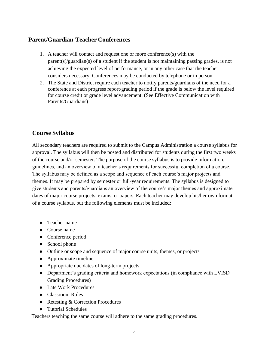#### **Parent/Guardian-Teacher Conferences**

- 1. A teacher will contact and request one or more conference(s) with the  $parent(s)/quantian(s)$  of a student if the student is not maintaining passing grades, is not achieving the expected level of performance, or in any other case that the teacher considers necessary. Conferences may be conducted by telephone or in person.
- 2. The State and District require each teacher to notify parents/guardians of the need for a conference at each progress report/grading period if the grade is below the level required for course credit or grade level advancement. (See Effective Communication with Parents/Guardians)

#### **Course Syllabus**

All secondary teachers are required to submit to the Campus Administration a course syllabus for approval. The syllabus will then be posted and distributed for students during the first two weeks of the course and/or semester. The purpose of the course syllabus is to provide information, guidelines, and an overview of a teacher's requirements for successful completion of a course. The syllabus may be defined as a scope and sequence of each course's major projects and themes. It may be prepared by semester or full-year requirements. The syllabus is designed to give students and parents/guardians an overview of the course's major themes and approximate dates of major course projects, exams, or papers. Each teacher may develop his/her own format of a course syllabus, but the following elements must be included:

- Teacher name
- Course name
- Conference period
- School phone
- Outline or scope and sequence of major course units, themes, or projects
- Approximate timeline
- Appropriate due dates of long-term projects
- Department's grading criteria and homework expectations (in compliance with LVISD Grading Procedures)
- Late Work Procedures
- Classroom Rules
- Retesting & Correction Procedures
- Tutorial Schedules

Teachers teaching the same course will adhere to the same grading procedures.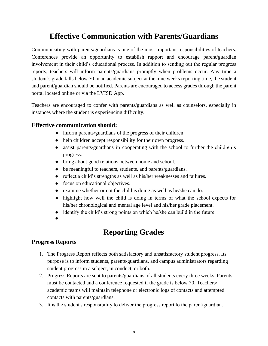## **Effective Communication with Parents/Guardians**

Communicating with parents/guardians is one of the most important responsibilities of teachers. Conferences provide an opportunity to establish rapport and encourage parent/guardian involvement in their child's educational process. In addition to sending out the regular progress reports, teachers will inform parents/guardians promptly when problems occur. Any time a student's grade falls below 70 in an academic subject at the nine weeks reporting time, the student and parent/guardian should be notified. Parents are encouraged to access grades through the parent portal located online or via the LVISD App.

Teachers are encouraged to confer with parents/guardians as well as counselors, especially in instances where the student is experiencing difficulty.

#### **Effective communication should:**

- inform parents/guardians of the progress of their children.
- help children accept responsibility for their own progress.
- assist parents/guardians in cooperating with the school to further the children's progress.
- bring about good relations between home and school.
- be meaningful to teachers, students, and parents/guardians.
- reflect a child's strengths as well as his/her weaknesses and failures.
- focus on educational objectives.
- examine whether or not the child is doing as well as he/she can do.
- highlight how well the child is doing in terms of what the school expects for his/her chronological and mental age level and his/her grade placement.
- identify the child's strong points on which he/she can build in the future.
- ●

## **Reporting Grades**

#### **Progress Reports**

- 1. The Progress Report reflects both satisfactory and unsatisfactory student progress. Its purpose is to inform students, parents/guardians, and campus administrators regarding student progress in a subject, in conduct, or both.
- 2. Progress Reports are sent to parents/guardians of all students every three weeks. Parents must be contacted and a conference requested if the grade is below 70. Teachers/ academic teams will maintain telephone or electronic logs of contacts and attempted contacts with parents/guardians.
- 3. It is the student's responsibility to deliver the progress report to the parent/guardian.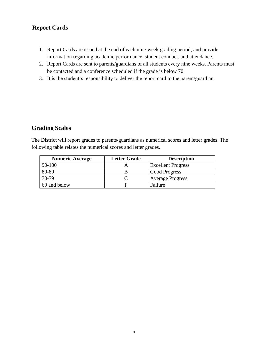#### **Report Cards**

- 1. Report Cards are issued at the end of each nine-week grading period, and provide information regarding academic performance, student conduct, and attendance.
- 2. Report Cards are sent to parents/guardians of all students every nine weeks. Parents must be contacted and a conference scheduled if the grade is below 70.
- 3. It is the student's responsibility to deliver the report card to the parent/guardian.

#### **Grading Scales**

The District will report grades to parents/guardians as numerical scores and letter grades. The following table relates the numerical scores and letter grades.

| <b>Numeric Average</b> | <b>Letter Grade</b> | <b>Description</b>        |
|------------------------|---------------------|---------------------------|
| 90-100                 |                     | <b>Excellent Progress</b> |
| 80-89                  |                     | <b>Good Progress</b>      |
| 70-79                  |                     | <b>Average Progress</b>   |
| 69 and below           |                     | Failure                   |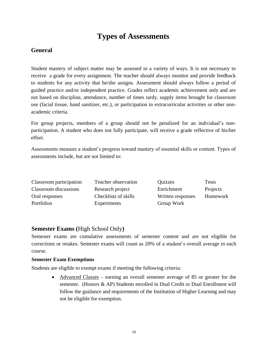## **Types of Assessments**

#### **General**

Student mastery of subject matter may be assessed in a variety of ways. It is not necessary to receive a grade for every assignment. The teacher should always monitor and provide feedback to students for any activity that he/she assigns. Assessment should always follow a period of guided practice and/or independent practice. Grades reflect academic achievement only and are not based on discipline, attendance, number of times tardy, supply items brought for classroom use (facial tissue, hand sanitizer, etc.), or participation in extracurricular activities or other nonacademic criteria.

For group projects, members of a group should not be penalized for an individual's nonparticipation. A student who does not fully participate, will receive a grade reflective of his/her effort.

Assessments measure a student's progress toward mastery of essential skills or content. Types of assessments include, but are not limited to:

| Classroom participation | Teacher observation  | Quizzes           | <b>Tests</b> |
|-------------------------|----------------------|-------------------|--------------|
| Classroom discussions   | Research project     | Enrichment        | Projects     |
| Oral responses          | Checklists of skills | Written responses | Homework     |
| <b>Portfolios</b>       | Experiments          | Group Work        |              |

#### **Semester Exams (**High School Only**)**

Semester exams are cumulative assessments of semester content and are not eligible for corrections or retakes. Semester exams will count as 20% of a student's overall average in each course.

#### **Semester Exam Exemptions**

Students are eligible to exempt exams if meeting the following criteria:

• Advanced Classes – earning an overall semester average of 85 or greater for the semester. (Honors & AP) Students enrolled in Dual Credit or Dual Enrollment will follow the guidance and requirements of the Institution of Higher Learning and may not be eligible for exemption.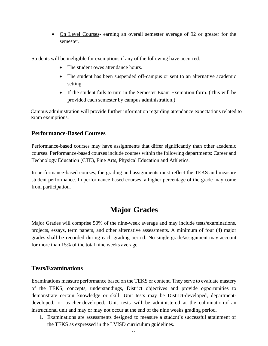• On Level Courses- earning an overall semester average of 92 or greater for the semester.

Students will be ineligible for exemptions if any of the following have occurred:

- The student owes attendance hours.
- The student has been suspended off-campus or sent to an alternative academic setting.
- If the student fails to turn in the Semester Exam Exemption form. (This will be provided each semester by campus administration.)

 Campus administration will provide further information regarding attendance expectations related to exam exemptions.

#### **Performance-Based Courses**

Performance-based courses may have assignments that differ significantly than other academic courses. Performance-based courses include courses within the following departments: Career and Technology Education (CTE), Fine Arts, Physical Education and Athletics.

In performance-based courses, the grading and assignments must reflect the TEKS and measure student performance. In performance-based courses, a higher percentage of the grade may come from participation.

## **Major Grades**

Major Grades will comprise 50% of the nine-week average and may include tests/examinations, projects, essays, term papers, and other alternative assessments. A minimum of four (4) major grades shall be recorded during each grading period. No single grade/assignment may account for more than 15% of the total nine weeks average.

#### **Tests/Examinations**

Examinations measure performance based on the TEKS or content. They serve to evaluate mastery of the TEKS, concepts, understandings, District objectives and provide opportunities to demonstrate certain knowledge or skill. Unit tests may be District-developed, departmentdeveloped, or teacher-developed. Unit tests will be administered at the culminationof an instructional unit and may or may not occur at the end of the nine weeks grading period.

1. Examinations are assessments designed to measure a student's successful attainment of the TEKS as expressed in the LVISD curriculum guidelines.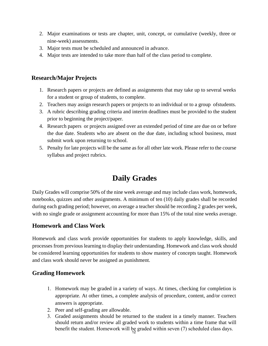- 2. Major examinations or tests are chapter, unit, concept, or cumulative (weekly, three or nine-week) assessments.
- 3. Major tests must be scheduled and announced in advance.
- 4. Major tests are intended to take more than half of the class period to complete.

#### **Research/Major Projects**

- 1. Research papers or projects are defined as assignments that may take up to several weeks for a student or group of students, to complete.
- 2. Teachers may assign research papers or projects to an individual or to a group ofstudents.
- 3. A rubric describing grading criteria and interim deadlines must be provided to the student prior to beginning the project/paper.
- 4. Research papers or projects assigned over an extended period of time are due on or before the due date. Students who are absent on the due date, including school business, must submit work upon returning to school.
- 5. Penalty for late projects will be the same as for all other late work. Please refer to the course syllabus and project rubrics.

# **Daily Grades**

Daily Grades will comprise 50% of the nine week average and may include class work, homework, notebooks, quizzes and other assignments. A minimum of ten (10) daily grades shall be recorded during each grading period; however, on average a teacher should be recording 2 grades per week, with no single grade or assignment accounting for more than 15% of the total nine weeks average.

#### **Homework and Class Work**

Homework and class work provide opportunities for students to apply knowledge, skills, and processes from previous learning to display their understanding. Homework and class work should be considered learning opportunities for students to show mastery of concepts taught. Homework and class work should never be assigned as punishment.

#### **Grading Homework**

- 1. Homework may be graded in a variety of ways. At times, checking for completion is appropriate. At other times, a complete analysis of procedure, content, and/or correct answers is appropriate.
- 2. Peer and self-grading are allowable.
- 3. Graded assignments should be returned to the student in a timely manner. Teachers should return and/or review all graded work to students within a time frame that will benefit the student. Homework will be graded within seven  $(7)$  scheduled class days.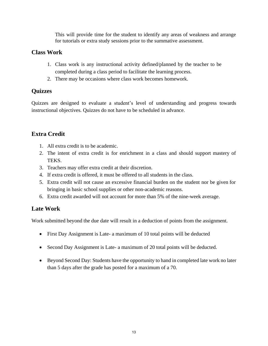This will provide time for the student to identify any areas of weakness and arrange for tutorials or extra study sessions prior to the summative assessment.

#### **Class Work**

- 1. Class work is any instructional activity defined/planned by the teacher to be completed during a class period to facilitate the learning process.
- 2. There may be occasions where class work becomes homework.

#### **Quizzes**

Quizzes are designed to evaluate a student's level of understanding and progress towards instructional objectives. Quizzes do not have to be scheduled in advance.

### **Extra Credit**

- 1. All extra credit is to be academic.
- 2. The intent of extra credit is for enrichment in a class and should support mastery of TEKS.
- 3. Teachers may offer extra credit at their discretion.
- 4. If extra credit is offered, it must be offered to all students in the class.
- 5. Extra credit will not cause an excessive financial burden on the student nor be given for bringing in basic school supplies or other non-academic reasons.
- 6. Extra credit awarded will not account for more than 5% of the nine-week average.

### **Late Work**

Work submitted beyond the due date will result in a deduction of points from the assignment.

- First Day Assignment is Late- a maximum of 10 total points will be deducted
- Second Day Assignment is Late- a maximum of 20 total points will be deducted.
- Beyond Second Day: Students have the opportunity to hand in completed late work no later than 5 days after the grade has posted for a maximum of a 70.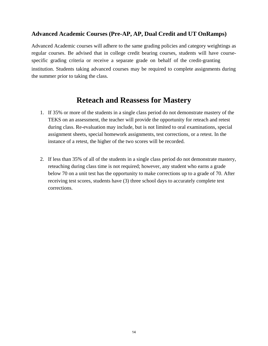#### **Advanced Academic Courses (Pre-AP, AP, Dual Credit and UT OnRamps)**

Advanced Academic courses will adhere to the same grading policies and category weightings as regular courses. Be advised that in college credit bearing courses, students will have coursespecific grading criteria or receive a separate grade on behalf of the credit-granting institution. Students taking advanced courses may be required to complete assignments during the summer prior to taking the class.

## **Reteach and Reassess for Mastery**

- 1. If 35% or more of the students in a single class period do not demonstrate mastery of the TEKS on an assessment, the teacher will provide the opportunity for reteach and retest during class. Re-evaluation may include, but is not limited to oral examinations, special assignment sheets, special homework assignments, test corrections, or a retest. In the instance of a retest, the higher of the two scores will be recorded.
- 2. If less than 35% of all of the students in a single class period do not demonstrate mastery, reteaching during class time is not required; however, any student who earns a grade below 70 on a unit test has the opportunity to make corrections up to a grade of 70. After receiving test scores, students have (3) three school days to accurately complete test corrections.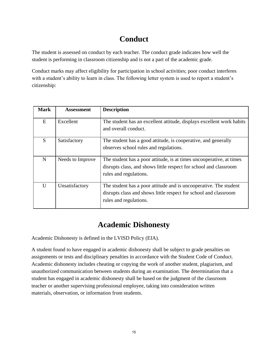# **Conduct**

The student is assessed on conduct by each teacher. The conduct grade indicates how well the student is performing in classroom citizenship and is not a part of the academic grade.

Conduct marks may affect eligibility for participation in school activities; poor conduct interferes with a student's ability to learn in class. The following letter system is used to report a student's citizenship:

| <b>Mark</b> | <b>Assessment</b> | <b>Description</b>                                                                                                                                                  |
|-------------|-------------------|---------------------------------------------------------------------------------------------------------------------------------------------------------------------|
| E           | Excellent         | The student has an excellent attitude, displays excellent work habits<br>and overall conduct.                                                                       |
| S.          | Satisfactory      | The student has a good attitude, is cooperative, and generally<br>observes school rules and regulations.                                                            |
| $\mathbf N$ | Needs to Improve  | The student has a poor attitude, is at times uncooperative, at times<br>disrupts class, and shows little respect for school and classroom<br>rules and regulations. |
| U           | Unsatisfactory    | The student has a poor attitude and is uncooperative. The student<br>disrupts class and shows little respect for school and classroom<br>rules and regulations.     |

# **Academic Dishonesty**

Academic Dishonesty is defined in the LVISD Policy (EIA).

A student found to have engaged in academic dishonesty shall be subject to grade penalties on assignments or tests and disciplinary penalties in accordance with the Student Code of Conduct. Academic dishonesty includes cheating or copying the work of another student, plagiarism, and unauthorized communication between students during an examination. The determination that a student has engaged in academic dishonesty shall be based on the judgment of the classroom teacher or another supervising professional employee, taking into consideration written materials, observation, or information from students.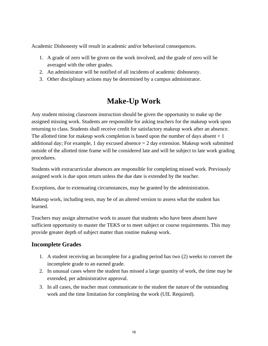Academic Dishonesty will result in academic and/or behavioral consequences.

- 1. A grade of zero will be given on the work involved, and the grade of zero will be averaged with the other grades.
- 2. An administrator will be notified of all incidents of academic dishonesty.
- 3. Other disciplinary actions may be determined by a campus administrator.

## **Make-Up Work**

Any student missing classroom instruction should be given the opportunity to make up the assigned missing work. Students are responsible for asking teachers for the makeup work upon returning to class. Students shall receive credit for satisfactory makeup work after an absence. The allotted time for makeup work completion is based upon the number of days absent  $+1$ additional day; For example, 1 day excused absence  $= 2$  day extension. Makeup work submitted outside of the allotted time frame will be considered late and will be subject to late work grading procedures.

Students with extracurricular absences are responsible for completing missed work. Previously assigned work is due upon return unless the due date is extended by the teacher.

Exceptions, due to extenuating circumstances, may be granted by the administration.

Makeup work, including tests, may be of an altered version to assess what the student has learned.

Teachers may assign alternative work to assure that students who have been absent have sufficient opportunity to master the TEKS or to meet subject or course requirements. This may provide greater depth of subject matter than routine makeup work.

#### **Incomplete Grades**

- 1. A student receiving an Incomplete for a grading period has two (2) weeks to convert the incomplete grade to an earned grade.
- 2. In unusual cases where the student has missed a large quantity of work, the time may be extended, per administrative approval.
- 3. In all cases, the teacher must communicate to the student the nature of the outstanding work and the time limitation for completing the work (UIL Required).